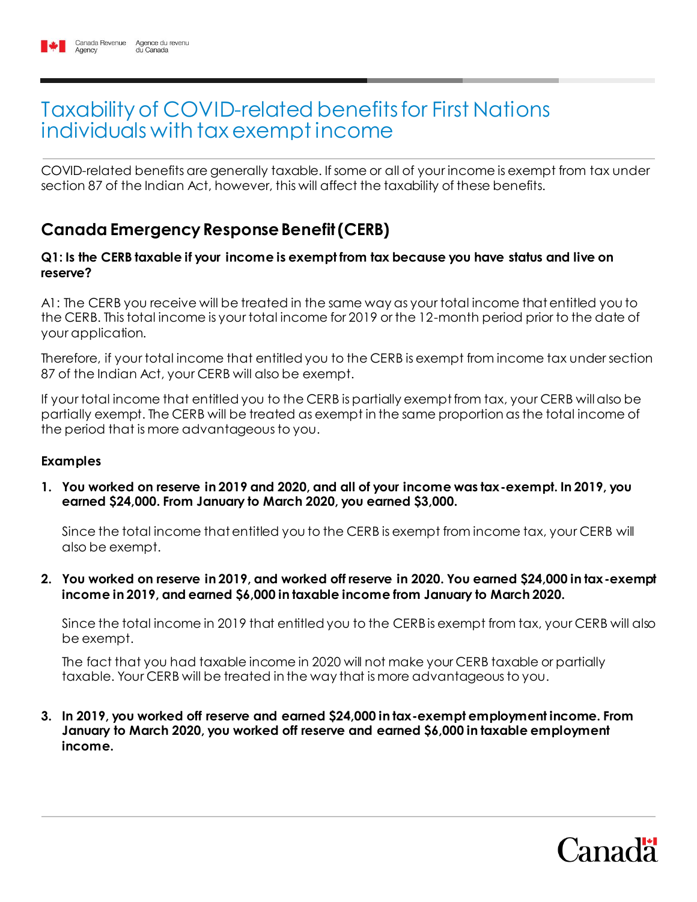# Taxability of COVID-related benefits for First Nations individuals with tax exempt income

COVID-related benefits are generally taxable. If some or all of your income is exempt from tax under section 87 of the Indian Act, however, this will affect the taxability of these benefits.

# **Canada Emergency Response Benefit (CERB)**

#### **Q1: Is the CERB taxable if your income is exempt from tax because you have status and live on reserve?**

A1: The CERB you receive will be treated in the same way as your total income that entitled you to the CERB. This total income is your total income for 2019 or the 12-month period prior to the date of your application.

Therefore, if your total income that entitled you to the CERB is exempt from income tax under section 87 of the Indian Act, your CERB will also be exempt.

If your total income that entitled you to the CERB is partially exempt from tax, your CERB will also be partially exempt. The CERB will be treated as exempt in the same proportion as the total income of the period that is more advantageous to you.

#### **Examples**

**1. You worked on reserve in 2019 and 2020, and all of your income was tax-exempt. In 2019, you earned \$24,000. From January to March 2020, you earned \$3,000.**

Since the total income that entitled you to the CERB is exempt from income tax, your CERB will also be exempt.

**2. You worked on reserve in 2019, and worked off reserve in 2020. You earned \$24,000 in tax-exempt income in 2019, and earned \$6,000 in taxable income from January to March 2020.**

Since the total income in 2019 that entitled you to the CERB is exempt from tax, your CERB will also be exempt.

The fact that you had taxable income in 2020 will not make your CERB taxable or partially taxable. Your CERB will be treated in the way that is more advantageous to you.

**3. In 2019, you worked off reserve and earned \$24,000 in tax-exempt employment income. From January to March 2020, you worked off reserve and earned \$6,000 in taxable employment income.**

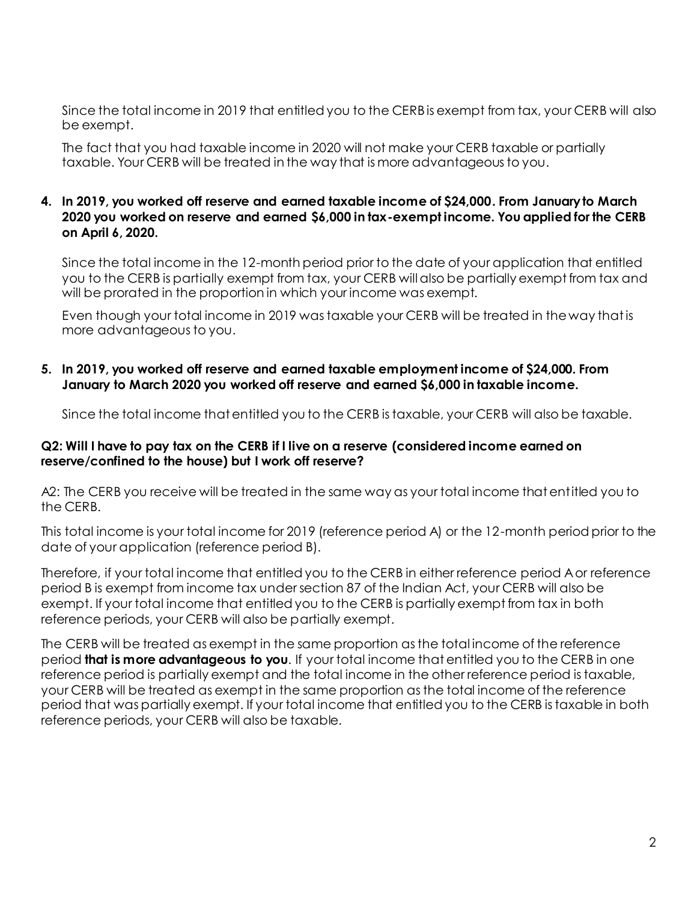Since the total income in 2019 that entitled you to the CERB is exempt from tax, your CERB will also be exempt.

The fact that you had taxable income in 2020 will not make your CERB taxable or partially taxable. Your CERB will be treated in the way that is more advantageous to you.

#### **4. In 2019, you worked off reserve and earned taxable income of \$24,000. From January to March 2020 you worked on reserve and earned \$6,000 in tax-exempt income. You applied for the CERB on April 6, 2020.**

Since the total income in the 12-month period prior to the date of your application that entitled you to the CERB is partially exempt from tax, your CERB will also be partially exempt from tax and will be prorated in the proportion in which your income was exempt.

Even though your total income in 2019 was taxable your CERB will be treated in the way that is more advantageous to you.

#### **5. In 2019, you worked off reserve and earned taxable employment income of \$24,000. From January to March 2020 you worked off reserve and earned \$6,000 in taxable income.**

Since the total income that entitled you to the CERB is taxable, your CERB will also be taxable.

#### **Q2: Will I have to pay tax on the CERB if I live on a reserve (considered income earned on reserve/confined to the house) but I work off reserve?**

A2: The CERB you receive will be treated in the same way as your total income that entitled you to the CERB.

This total income is your total income for 2019 (reference period A) or the 12-month period prior to the date of your application (reference period B).

Therefore, if your total income that entitled you to the CERB in either reference period A or reference period B is exempt from income tax under section 87 of the Indian Act, your CERB will also be exempt. If your total income that entitled you to the CERB is partially exempt from tax in both reference periods, your CERB will also be partially exempt.

The CERB will be treated as exempt in the same proportion as the total income of the reference period **that is more advantageous to you**. If your total income that entitled you to the CERB in one reference period is partially exempt and the total income in the other reference period is taxable, your CERB will be treated as exempt in the same proportion as the total income of the reference period that was partially exempt. If your total income that entitled you to the CERB is taxable in both reference periods, your CERB will also be taxable.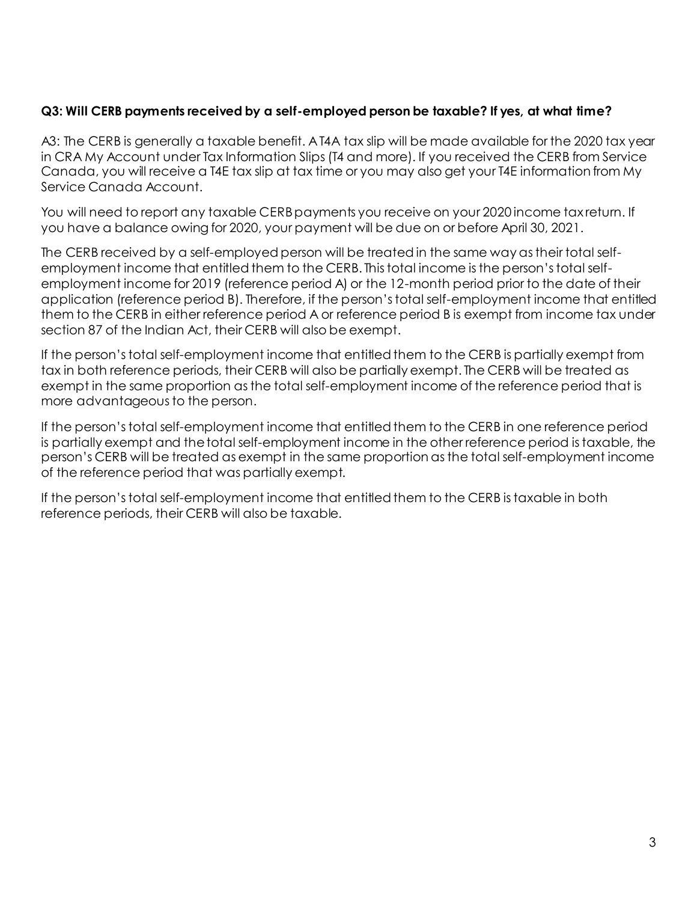#### **Q3: Will CERB payments received by a self-employed person be taxable? If yes, at what time?**

A3: The CERB is generally a taxable benefit. A T4A tax slip will be made available for the 2020 tax year in CRA My Account under Tax Information Slips (T4 and more). If you received the CERB from Service Canada, you will receive a T4E tax slip at tax time or you may also get your T4E information from My Service Canada Account.

You will need to report any taxable CERB payments you receive on your 2020 income tax return. If you have a balance owing for 2020, your payment will be due on or before April 30, 2021.

The CERB received by a self-employed person will be treated in the same way as their total selfemployment income that entitled them to the CERB. This total income is the person's total selfemployment income for 2019 (reference period A) or the 12-month period prior to the date of their application (reference period B). Therefore, if the person's total self-employment income that entitled them to the CERB in either reference period A or reference period B is exempt from income tax under section 87 of the Indian Act, their CERB will also be exempt.

If the person's total self-employment income that entitled them to the CERB is partially exempt from tax in both reference periods, their CERB will also be partially exempt. The CERB will be treated as exempt in the same proportion as the total self-employment income of the reference period that is more advantageous to the person.

If the person's total self-employment income that entitled them to the CERB in one reference period is partially exempt and the total self-employment income in the other reference period is taxable, the person's CERB will be treated as exempt in the same proportion as the total self-employment income of the reference period that was partially exempt.

If the person's total self-employment income that entitled them to the CERB is taxable in both reference periods, their CERB will also be taxable.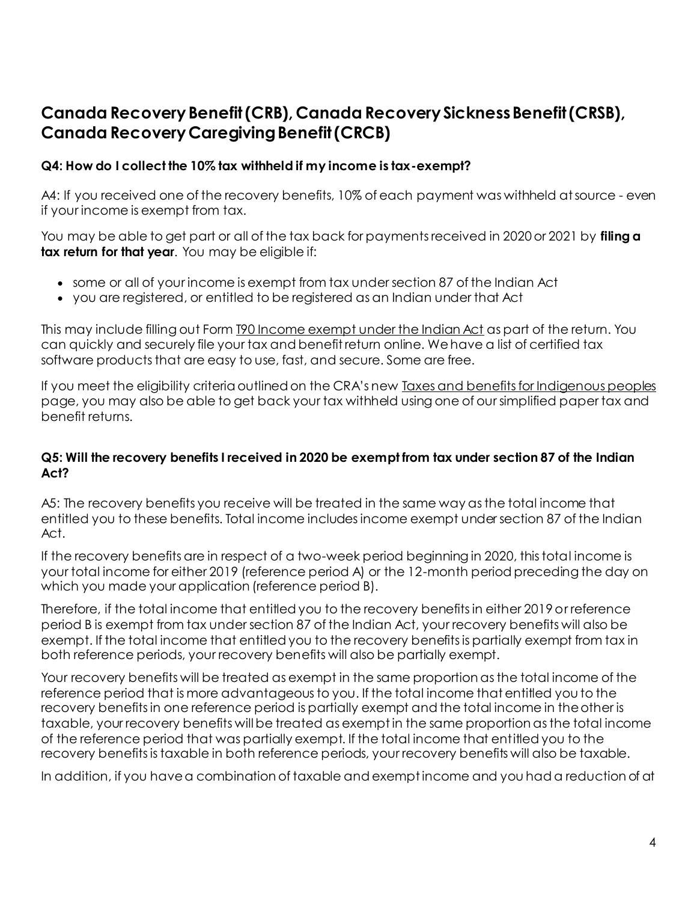## **Canada Recovery Benefit (CRB), Canada Recovery Sickness Benefit (CRSB), Canada Recovery Caregiving Benefit (CRCB)**

#### **Q4: How do I collect the 10% tax withheld if my income is tax-exempt?**

A4: If you received one of the recovery benefits, 10% of each payment was withheld at source - even if your income is exempt from tax.

You may be able to get part or all of the tax back for payments received in 2020 or 2021 by **filing a tax return for that year**. You may be eligible if:

- some or all of your income is exempt from tax under section 87 of the Indian Act
- you are registered, or entitled to be registered as an Indian under that Act

This may include filling out Form [T90 Income exempt under the Indian Act](https://www.canada.ca/en/revenue-agency/services/forms-publications/forms/t90.html) as part of the return. You can quickly and securely file your tax and benefit return online. We have a list of certified tax software products that are easy to use, fast, and secure. Some are free.

If you meet the eligibility criteria outlined on the CRA's new [Taxes and benefits for Indigenous peoples](https://www.canada.ca/en/revenue-agency/services/indigenous-peoples.html#simplereturn) page, you may also be able to get back your tax withheld using one of our simplified paper tax and benefit returns.

#### **Q5: Will the recovery benefits I received in 2020 be exempt from tax under section 87 of the Indian Act?**

A5: The recovery benefits you receive will be treated in the same way as the total income that entitled you to these benefits. Total income includes income exempt under section 87 of the Indian Act.

If the recovery benefits are in respect of a two-week period beginning in 2020, this total income is your total income for either 2019 (reference period A) or the 12-month period preceding the day on which you made your application (reference period B).

Therefore, if the total income that entitled you to the recovery benefits in either 2019 or reference period B is exempt from tax under section 87 of the Indian Act, your recovery benefits will also be exempt. If the total income that entitled you to the recovery benefits is partially exempt from tax in both reference periods, your recovery benefits will also be partially exempt.

Your recovery benefits will be treated as exempt in the same proportion as the total income of the reference period that is more advantageous to you. If the total income that entitled you to the recovery benefits in one reference period is partially exempt and the total income in the other is taxable, your recovery benefits will be treated as exempt in the same proportion as the total income of the reference period that was partially exempt. If the total income that entitled you to the recovery benefits is taxable in both reference periods, your recovery benefits will also be taxable.

In addition, if you have a combination of taxable and exempt income and you had a reduction of at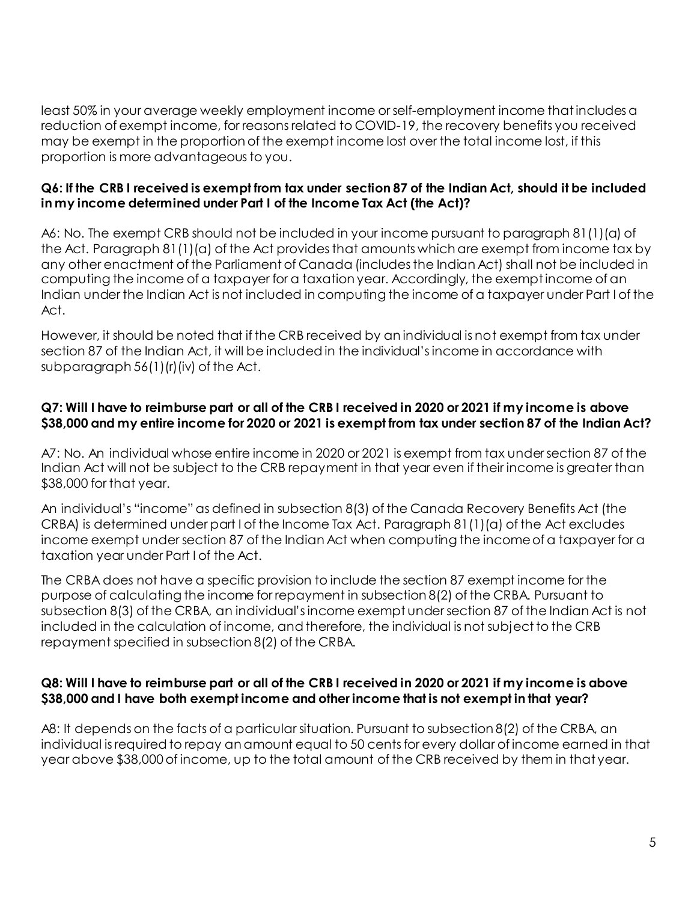least 50% in your average weekly employment income or self-employment income that includes a reduction of exempt income, for reasons related to COVID-19, the recovery benefits you received may be exempt in the proportion of the exempt income lost over the total income lost, if this proportion is more advantageous to you.

#### **Q6: If the CRB I received is exempt from tax under section 87 of the Indian Act, should it be included in my income determined under Part I of the Income Tax Act (the Act)?**

A6: No. The exempt CRB should not be included in your income pursuant to paragraph 81(1)(a) of the Act. Paragraph 81(1)(a) of the Act provides that amounts which are exempt from income tax by any other enactment of the Parliament of Canada (includes the Indian Act) shall not be included in computing the income of a taxpayer for a taxation year. Accordingly, the exempt income of an Indian under the Indian Act is not included in computing the income of a taxpayer under Part I of the Act.

However, it should be noted that if the CRB received by an individual is not exempt from tax under section 87 of the Indian Act, it will be included in the individual's income in accordance with subparagraph 56(1)(r)(iv) of the Act.

#### **Q7: Will I have to reimburse part or all of the CRB I received in 2020 or 2021 if my income is above \$38,000 and my entire income for 2020 or 2021 is exempt from tax under section 87 of the Indian Act?**

A7: No. An individual whose entire income in 2020 or 2021 is exempt from tax under section 87 of the Indian Act will not be subject to the CRB repayment in that year even if their income is greater than \$38,000 for that year.

An individual's "income" as defined in subsection 8(3) of the Canada Recovery Benefits Act (the CRBA) is determined under part I of the Income Tax Act. Paragraph 81(1)(a) of the Act excludes income exempt under section 87 of the Indian Act when computing the income of a taxpayer for a taxation year under Part I of the Act.

The CRBA does not have a specific provision to include the section 87 exempt income for the purpose of calculating the income for repayment in subsection 8(2) of the CRBA. Pursuant to subsection 8(3) of the CRBA, an individual's income exempt under section 87 of the Indian Act is not included in the calculation of income, and therefore, the individual is not subject to the CRB repayment specified in subsection 8(2) of the CRBA.

#### **Q8: Will I have to reimburse part or all of the CRB I received in 2020 or 2021 if my income is above \$38,000 and I have both exempt income and other income that is not exempt in that year?**

A8: It depends on the facts of a particular situation. Pursuant to subsection 8(2) of the CRBA, an individual is required to repay an amount equal to 50 cents for every dollar of income earned in that year above \$38,000 of income, up to the total amount of the CRB received by them in that year.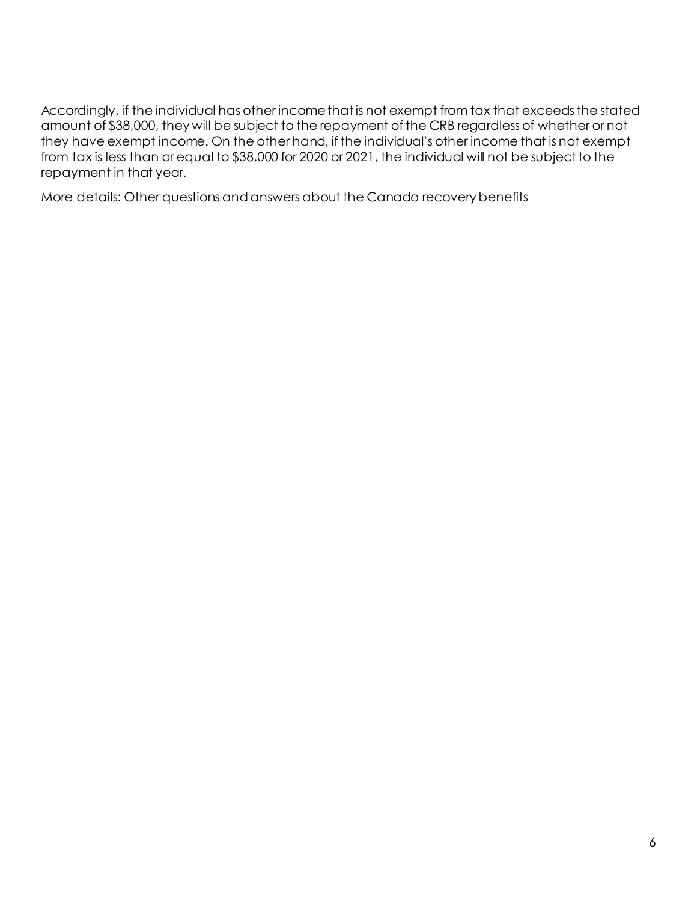Accordingly, if the individual has other income that is not exempt from tax that exceeds the stated amount of \$38,000, they will be subject to the repayment of the CRB regardless of whether or not they have exempt income. On the other hand, if the individual's other income that is not exempt from tax is less than or equal to \$38,000 for 2020 or 2021, the individual will not be subject to the repayment in that year.

More details: [Other questions and answers about the Canada recovery benefits](https://www.canada.ca/en/services/benefits/ei/cerb-application/transition/questions.html)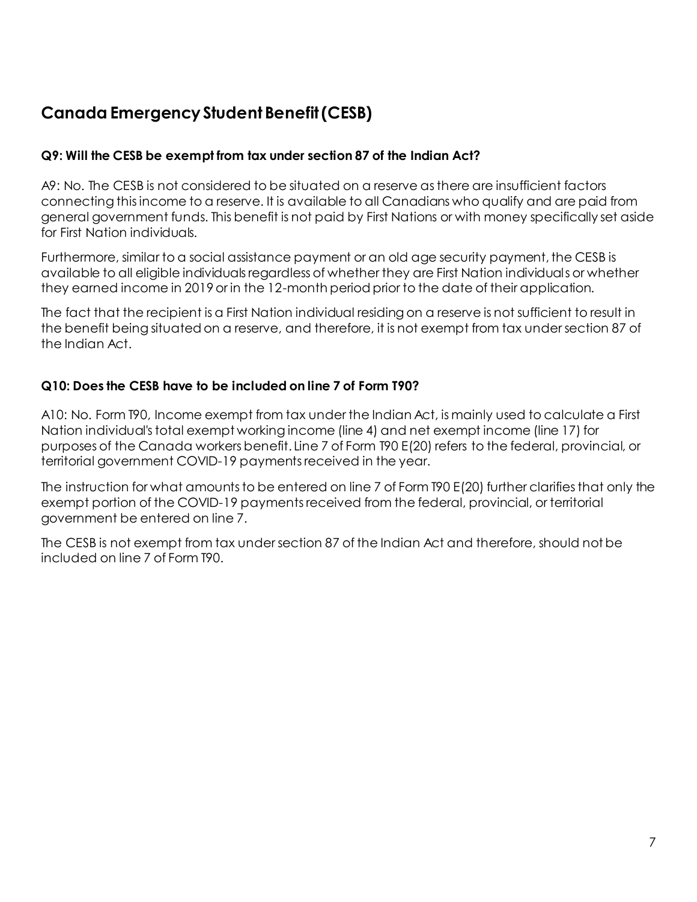# **Canada Emergency Student Benefit (CESB)**

### **Q9: Will the CESB be exempt from tax under section 87 of the Indian Act?**

A9: No. The CESB is not considered to be situated on a reserve as there are insufficient factors connecting this income to a reserve. It is available to all Canadians who qualify and are paid from general government funds. This benefit is not paid by First Nations or with money specifically set aside for First Nation individuals.

Furthermore, similar to a social assistance payment or an old age security payment, the CESB is available to all eligible individuals regardless of whether they are First Nation individuals or whether they earned income in 2019 or in the 12-month period prior to the date of their application.

The fact that the recipient is a First Nation individual residing on a reserve is not sufficient to result in the benefit being situated on a reserve, and therefore, it is not exempt from tax under section 87 of the Indian Act.

### **Q10: Does the CESB have to be included on line 7 of Form T90?**

A10: No. Form T90, Income exempt from tax under the Indian Act, is mainly used to calculate a First Nation individual's total exempt working income (line 4) and net exempt income (line 17) for purposes of the Canada workers benefit. Line 7 of Form T90 E(20) refers to the federal, provincial, or territorial government COVID-19 payments received in the year.

The instruction for what amounts to be entered on line 7 of Form T90 E(20) further clarifies that only the exempt portion of the COVID-19 payments received from the federal, provincial, or territorial government be entered on line 7.

The CESB is not exempt from tax under section 87 of the Indian Act and therefore, should not be included on line 7 of Form T90.